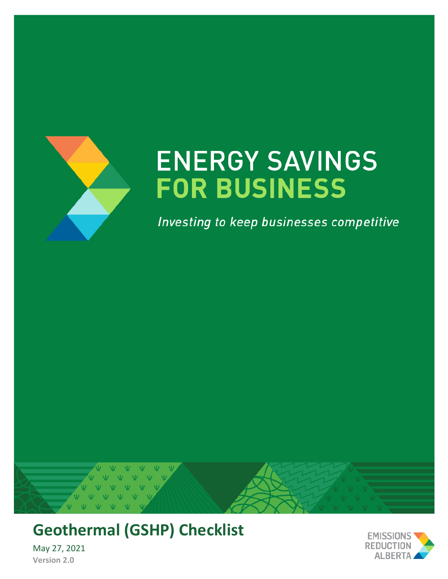

# **ENERGY SAVINGS FOR BUSINESS**

Investing to keep businesses competitive



## **Geothermal (GSHP) Checklist**

May 27, 2021 **Version 2.0**

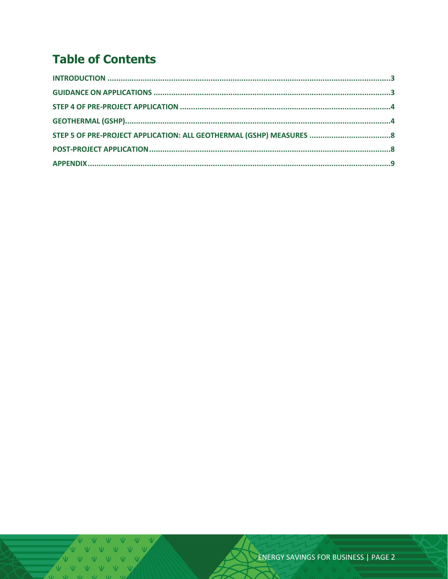### **Table of Contents**

V V V V V V<br>V V V V V V VVVV  $V = M - W$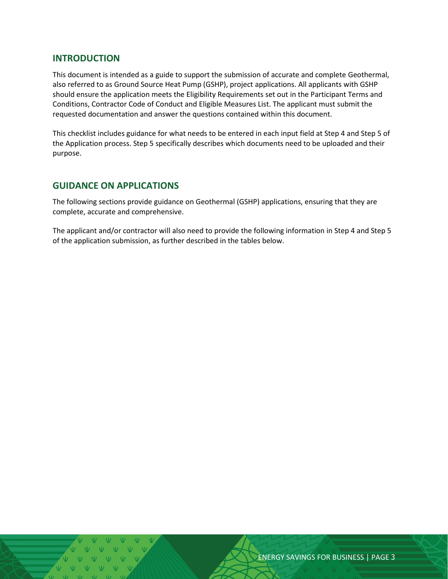#### <span id="page-2-0"></span>**INTRODUCTION**

This document is intended as a guide to support the submission of accurate and complete Geothermal, also referred to as Ground Source Heat Pump (GSHP), project applications. All applicants with GSHP should ensure the application meets the Eligibility Requirements set out in the Participant Terms and Conditions, Contractor Code of Conduct and Eligible Measures List. The applicant must submit the requested documentation and answer the questions contained within this document.

This checklist includes guidance for what needs to be entered in each input field at Step 4 and Step 5 of the Application process. Step 5 specifically describes which documents need to be uploaded and their purpose.

#### <span id="page-2-1"></span>**GUIDANCE ON APPLICATIONS**

The following sections provide guidance on Geothermal (GSHP) applications, ensuring that they are complete, accurate and comprehensive.

The applicant and/or contractor will also need to provide the following information in Step 4 and Step 5 of the application submission, as further described in the tables below.

ENERGY SAVINGS FOR BUSINESS | PAGE 3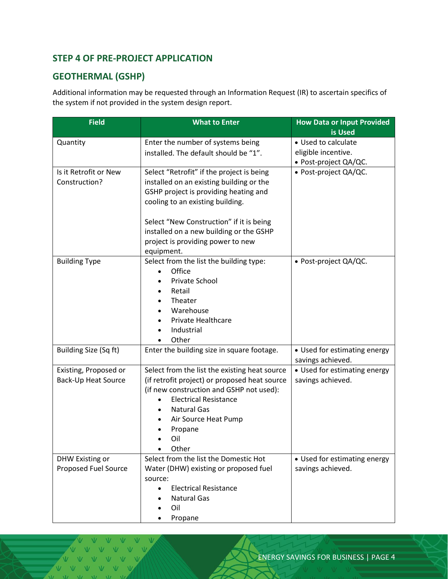#### <span id="page-3-0"></span>**STEP 4 OF PRE-PROJECT APPLICATION**

#### <span id="page-3-1"></span>**GEOTHERMAL (GSHP)**

Additional information may be requested through an Information Request (IR) to ascertain specifics of the system if not provided in the system design report.

| <b>Field</b>           | <b>What to Enter</b>                          | <b>How Data or Input Provided</b><br>is Used |  |
|------------------------|-----------------------------------------------|----------------------------------------------|--|
| Quantity               | Enter the number of systems being             | • Used to calculate                          |  |
|                        | installed. The default should be "1".         | eligible incentive.                          |  |
|                        |                                               | · Post-project QA/QC.                        |  |
| Is it Retrofit or New  | Select "Retrofit" if the project is being     | · Post-project QA/QC.                        |  |
| Construction?          | installed on an existing building or the      |                                              |  |
|                        | GSHP project is providing heating and         |                                              |  |
|                        | cooling to an existing building.              |                                              |  |
|                        |                                               |                                              |  |
|                        | Select "New Construction" if it is being      |                                              |  |
|                        | installed on a new building or the GSHP       |                                              |  |
|                        | project is providing power to new             |                                              |  |
|                        | equipment.                                    |                                              |  |
| <b>Building Type</b>   | Select from the list the building type:       | • Post-project QA/QC.                        |  |
|                        | Office                                        |                                              |  |
|                        | Private School                                |                                              |  |
|                        | Retail<br>$\bullet$                           |                                              |  |
|                        | Theater<br>$\bullet$<br>Warehouse             |                                              |  |
|                        | ٠<br>Private Healthcare                       |                                              |  |
|                        | Industrial                                    |                                              |  |
|                        | Other                                         |                                              |  |
| Building Size (Sq ft)  | Enter the building size in square footage.    | • Used for estimating energy                 |  |
|                        |                                               | savings achieved.                            |  |
| Existing, Proposed or  | Select from the list the existing heat source | • Used for estimating energy                 |  |
| Back-Up Heat Source    | (if retrofit project) or proposed heat source | savings achieved.                            |  |
|                        | (if new construction and GSHP not used):      |                                              |  |
|                        | <b>Electrical Resistance</b><br>$\bullet$     |                                              |  |
|                        | <b>Natural Gas</b>                            |                                              |  |
|                        | Air Source Heat Pump                          |                                              |  |
|                        | Propane                                       |                                              |  |
|                        | Oil                                           |                                              |  |
|                        | Other                                         |                                              |  |
| <b>DHW Existing or</b> | Select from the list the Domestic Hot         | • Used for estimating energy                 |  |
| Proposed Fuel Source   | Water (DHW) existing or proposed fuel         | savings achieved.                            |  |
|                        | source:                                       |                                              |  |
|                        | <b>Electrical Resistance</b><br>$\bullet$     |                                              |  |
|                        | <b>Natural Gas</b>                            |                                              |  |
|                        | Oil                                           |                                              |  |
|                        | Propane                                       |                                              |  |

 $N$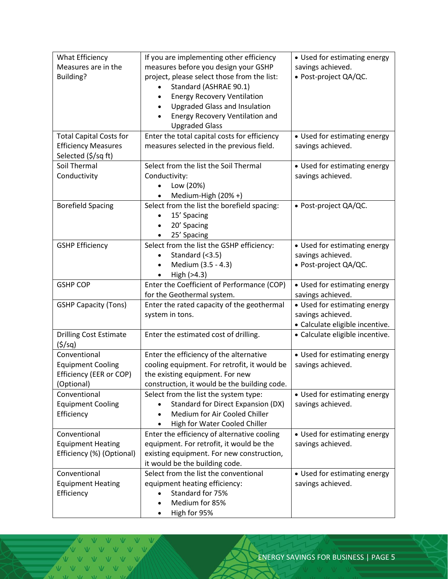| What Efficiency                | If you are implementing other efficiency          | • Used for estimating energy    |  |  |
|--------------------------------|---------------------------------------------------|---------------------------------|--|--|
| Measures are in the            | measures before you design your GSHP              | savings achieved.               |  |  |
| Building?                      | project, please select those from the list:       | · Post-project QA/QC.           |  |  |
|                                | Standard (ASHRAE 90.1)                            |                                 |  |  |
|                                | <b>Energy Recovery Ventilation</b><br>$\bullet$   |                                 |  |  |
|                                | <b>Upgraded Glass and Insulation</b><br>$\bullet$ |                                 |  |  |
|                                | Energy Recovery Ventilation and                   |                                 |  |  |
|                                | <b>Upgraded Glass</b>                             |                                 |  |  |
| <b>Total Capital Costs for</b> | Enter the total capital costs for efficiency      | • Used for estimating energy    |  |  |
| <b>Efficiency Measures</b>     | measures selected in the previous field.          | savings achieved.               |  |  |
| Selected (\$/sq ft)            |                                                   |                                 |  |  |
| Soil Thermal                   | Select from the list the Soil Thermal             | • Used for estimating energy    |  |  |
| Conductivity                   | Conductivity:                                     | savings achieved.               |  |  |
|                                | Low (20%)                                         |                                 |  |  |
|                                | Medium-High (20% +)                               |                                 |  |  |
| <b>Borefield Spacing</b>       | Select from the list the borefield spacing:       | · Post-project QA/QC.           |  |  |
|                                | 15' Spacing                                       |                                 |  |  |
|                                | 20' Spacing<br>$\bullet$                          |                                 |  |  |
|                                | 25' Spacing                                       |                                 |  |  |
| <b>GSHP Efficiency</b>         | Select from the list the GSHP efficiency:         | • Used for estimating energy    |  |  |
|                                | Standard (<3.5)<br>$\bullet$                      | savings achieved.               |  |  |
|                                | Medium (3.5 - 4.3)                                | · Post-project QA/QC.           |  |  |
|                                | High (>4.3)                                       |                                 |  |  |
| <b>GSHP COP</b>                | Enter the Coefficient of Performance (COP)        | • Used for estimating energy    |  |  |
|                                | for the Geothermal system.                        | savings achieved.               |  |  |
| <b>GSHP Capacity (Tons)</b>    | Enter the rated capacity of the geothermal        | • Used for estimating energy    |  |  |
|                                | system in tons.                                   | savings achieved.               |  |  |
|                                |                                                   | · Calculate eligible incentive. |  |  |
| <b>Drilling Cost Estimate</b>  | Enter the estimated cost of drilling.             | · Calculate eligible incentive. |  |  |
| (5/sq)                         |                                                   |                                 |  |  |
| Conventional                   | Enter the efficiency of the alternative           | • Used for estimating energy    |  |  |
| <b>Equipment Cooling</b>       | cooling equipment. For retrofit, it would be      | savings achieved.               |  |  |
| Efficiency (EER or COP)        | the existing equipment. For new                   |                                 |  |  |
| (Optional)                     | construction, it would be the building code.      |                                 |  |  |
| Conventional                   | Select from the list the system type:             | • Used for estimating energy    |  |  |
| <b>Equipment Cooling</b>       | <b>Standard for Direct Expansion (DX)</b>         | savings achieved.               |  |  |
| Efficiency                     | Medium for Air Cooled Chiller<br>$\bullet$        |                                 |  |  |
|                                | High for Water Cooled Chiller                     |                                 |  |  |
| Conventional                   | Enter the efficiency of alternative cooling       | • Used for estimating energy    |  |  |
| <b>Equipment Heating</b>       | equipment. For retrofit, it would be the          | savings achieved.               |  |  |
| Efficiency (%) (Optional)      | existing equipment. For new construction,         |                                 |  |  |
|                                | it would be the building code.                    |                                 |  |  |
| Conventional                   | Select from the list the conventional             | • Used for estimating energy    |  |  |
| <b>Equipment Heating</b>       | equipment heating efficiency:                     | savings achieved.               |  |  |
| Efficiency                     | Standard for 75%                                  |                                 |  |  |
|                                | Medium for 85%<br>$\bullet$                       |                                 |  |  |
|                                | High for 95%<br>٠                                 |                                 |  |  |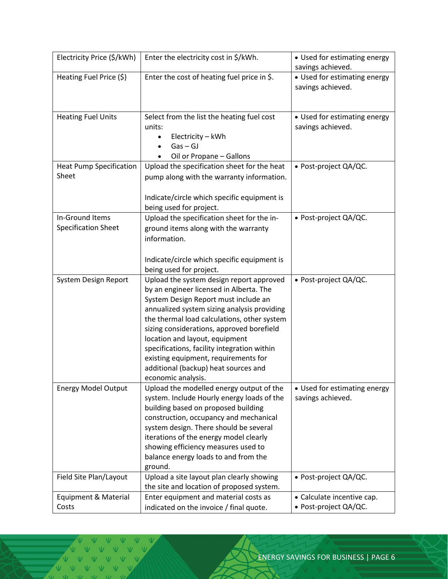| Electricity Price (\$/kWh)                    | Enter the electricity cost in \$/kWh.                                                                                                                                                                                                                                                                                                                                                                                                                         | • Used for estimating energy<br>savings achieved.   |  |
|-----------------------------------------------|---------------------------------------------------------------------------------------------------------------------------------------------------------------------------------------------------------------------------------------------------------------------------------------------------------------------------------------------------------------------------------------------------------------------------------------------------------------|-----------------------------------------------------|--|
| Heating Fuel Price (\$)                       | Enter the cost of heating fuel price in \$.                                                                                                                                                                                                                                                                                                                                                                                                                   | • Used for estimating energy<br>savings achieved.   |  |
| <b>Heating Fuel Units</b>                     | Select from the list the heating fuel cost<br>units:<br>Electricity - kWh<br>$\bullet$<br>$Gas - GI$<br>$\bullet$<br>Oil or Propane - Gallons                                                                                                                                                                                                                                                                                                                 | • Used for estimating energy<br>savings achieved.   |  |
| <b>Heat Pump Specification</b><br>Sheet       | Upload the specification sheet for the heat<br>pump along with the warranty information.<br>Indicate/circle which specific equipment is                                                                                                                                                                                                                                                                                                                       | · Post-project QA/QC.                               |  |
| In-Ground Items<br><b>Specification Sheet</b> | being used for project.<br>Upload the specification sheet for the in-<br>ground items along with the warranty<br>information.<br>Indicate/circle which specific equipment is<br>being used for project.                                                                                                                                                                                                                                                       | · Post-project QA/QC.                               |  |
| System Design Report                          | Upload the system design report approved<br>by an engineer licensed in Alberta. The<br>System Design Report must include an<br>annualized system sizing analysis providing<br>the thermal load calculations, other system<br>sizing considerations, approved borefield<br>location and layout, equipment<br>specifications, facility integration within<br>existing equipment, requirements for<br>additional (backup) heat sources and<br>economic analysis. | · Post-project QA/QC.                               |  |
| <b>Energy Model Output</b>                    | Upload the modelled energy output of the<br>system. Include Hourly energy loads of the<br>building based on proposed building<br>construction, occupancy and mechanical<br>system design. There should be several<br>iterations of the energy model clearly<br>showing efficiency measures used to<br>balance energy loads to and from the<br>ground.                                                                                                         | • Used for estimating energy<br>savings achieved.   |  |
| Field Site Plan/Layout                        | Upload a site layout plan clearly showing<br>the site and location of proposed system.                                                                                                                                                                                                                                                                                                                                                                        | • Post-project QA/QC.                               |  |
| Equipment & Material<br>Costs                 | Enter equipment and material costs as<br>indicated on the invoice / final quote.                                                                                                                                                                                                                                                                                                                                                                              | • Calculate incentive cap.<br>· Post-project QA/QC. |  |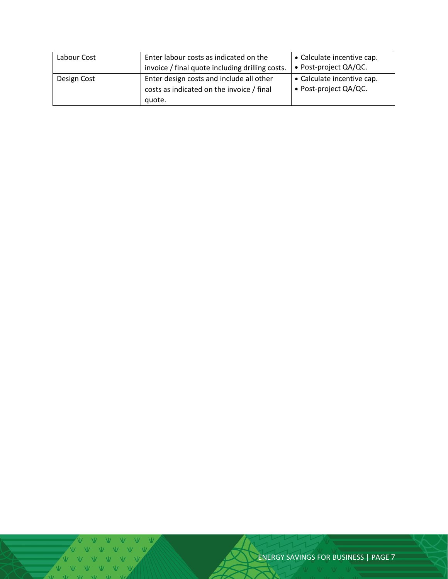| Labour Cost | Enter labour costs as indicated on the<br>invoice / final quote including drilling costs.       | • Calculate incentive cap.<br>• Post-project QA/QC. |  |
|-------------|-------------------------------------------------------------------------------------------------|-----------------------------------------------------|--|
| Design Cost | Enter design costs and include all other<br>costs as indicated on the invoice / final<br>quote. | • Calculate incentive cap.<br>• Post-project QA/QC. |  |

ENERGY SAVINGS FOR BUSINESS | PAGE 7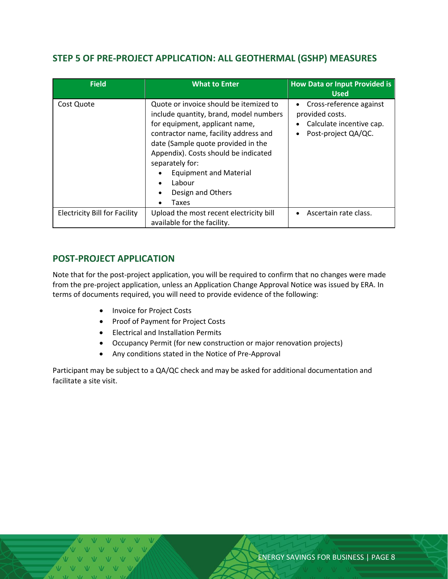#### <span id="page-7-0"></span>**STEP 5 OF PRE-PROJECT APPLICATION: ALL GEOTHERMAL (GSHP) MEASURES**

| <b>Field</b>                         | <b>What to Enter</b>                                                                                                                                                                                                                                                                                                                                            | <b>How Data or Input Provided is</b><br><b>Used</b>                                                                     |
|--------------------------------------|-----------------------------------------------------------------------------------------------------------------------------------------------------------------------------------------------------------------------------------------------------------------------------------------------------------------------------------------------------------------|-------------------------------------------------------------------------------------------------------------------------|
| Cost Quote                           | Quote or invoice should be itemized to<br>include quantity, brand, model numbers<br>for equipment, applicant name,<br>contractor name, facility address and<br>date (Sample quote provided in the<br>Appendix). Costs should be indicated<br>separately for:<br><b>Equipment and Material</b><br>Labour<br>$\bullet$<br>Design and Others<br>Taxes<br>$\bullet$ | Cross-reference against<br>$\bullet$<br>provided costs.<br>Calculate incentive cap.<br>Post-project QA/QC.<br>$\bullet$ |
| <b>Electricity Bill for Facility</b> | Upload the most recent electricity bill<br>available for the facility.                                                                                                                                                                                                                                                                                          | Ascertain rate class.                                                                                                   |

#### <span id="page-7-1"></span>**POST-PROJECT APPLICATION**

Note that for the post-project application, you will be required to confirm that no changes were made from the pre-project application, unless an Application Change Approval Notice was issued by ERA. In terms of documents required, you will need to provide evidence of the following:

- Invoice for Project Costs
- Proof of Payment for Project Costs
- Electrical and Installation Permits
- Occupancy Permit (for new construction or major renovation projects)
- Any conditions stated in the Notice of Pre-Approval

Participant may be subject to a QA/QC check and may be asked for additional documentation and facilitate a site visit.